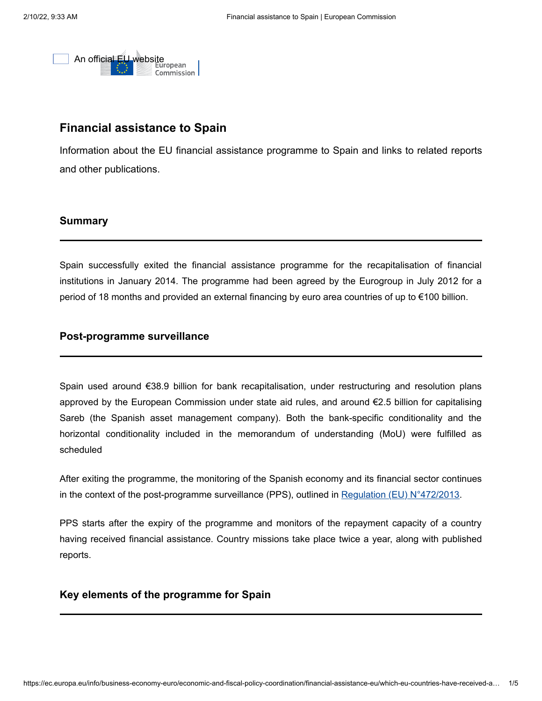

# **Financial assistance to Spain**

Information about the EU financial assistance programme to Spain and links to related reports and other publications.

## **Summary**

Spain successfully exited the financial assistance programme for the recapitalisation of financial institutions in January 2014. The programme had been agreed by the Eurogroup in July 2012 for a period of 18 months and provided an external financing by euro area countries of up to €100 billion.

## **Post-programme surveillance**

Spain used around €38.9 billion for bank recapitalisation, under restructuring and resolution plans approved by the European Commission under state aid rules, and around €2.5 billion for capitalising Sareb (the Spanish asset management company). Both the bank-specific conditionality and the horizontal conditionality included in the memorandum of understanding (MoU) were fulfilled as scheduled

After exiting the programme, the monitoring of the Spanish economy and its financial sector continues in the context of the post-programme surveillance (PPS), outlined in <u>[Regulation \(EU\) N°472/2013](http://eur-lex.europa.eu/legal-content/EN/TXT/?uri=CELEX:32013R0472)</u>.

PPS starts after the expiry of the programme and monitors of the repayment capacity of a country having received financial assistance. Country missions take place twice a year, along with published reports.

## **Key elements of the programme for Spain**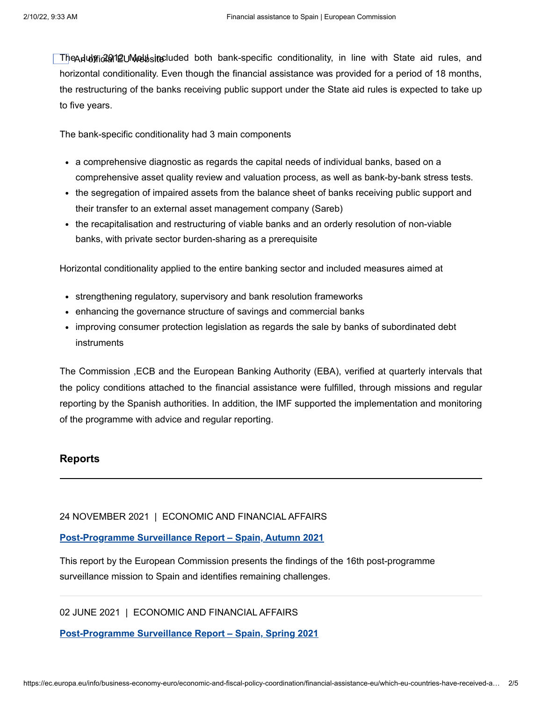The July 2012 MoU included both bank-specific conditionality, in line with State aid rules, and An official EU websitehorizontal conditionality. Even though the financial assistance was provided for a period of 18 months, the restructuring of the banks receiving public support under the State aid rules is expected to take up to five years.

The bank-specific conditionality had 3 main components

- a comprehensive diagnostic as regards the capital needs of individual banks, based on a comprehensive asset quality review and valuation process, as well as bank-by-bank stress tests.
- the segregation of impaired assets from the balance sheet of banks receiving public support and their transfer to an external asset management company (Sareb)
- the recapitalisation and restructuring of viable banks and an orderly resolution of non-viable banks, with private sector burden-sharing as a prerequisite

Horizontal conditionality applied to the entire banking sector and included measures aimed at

- strengthening regulatory, supervisory and bank resolution frameworks
- enhancing the governance structure of savings and commercial banks
- improving consumer protection legislation as regards the sale by banks of subordinated debt instruments

The Commission ,ECB and the European Banking Authority (EBA), verified at quarterly intervals that the policy conditions attached to the financial assistance were fulfilled, through missions and regular reporting by the Spanish authorities. In addition, the IMF supported the implementation and monitoring of the programme with advice and regular reporting.

## **Reports**

#### 24 NOVEMBER 2021 | ECONOMIC AND FINANCIAL AFFAIRS

#### **[Post-Programme Surveillance Report – Spain, Autumn 2021](https://ec.europa.eu/info/publications/post-programme-surveillance-report-spain-autumn-2021_en)**

This report by the European Commission presents the findings of the 16th post-programme surveillance mission to Spain and identifies remaining challenges.

#### 02 JUNE 2021 | ECONOMIC AND FINANCIAL AFFAIRS

**[Post-Programme Surveillance Report – Spain, Spring 2021](https://ec.europa.eu/info/publications/post-programme-surveillance-report-spain-spring-2021_en)**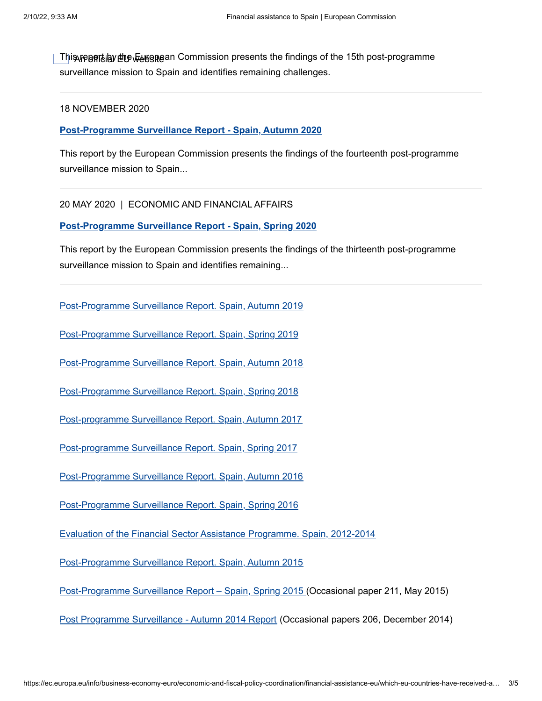This report by the European Commission presents the findings of the 15th post-programme An official EU websitesurveillance mission to Spain and identifies remaining challenges.

#### 18 NOVEMBER 2020

**[Post-Programme Surveillance Report - Spain, Autumn 2020](https://ec.europa.eu/info/publications/post-programme-surveillance-report-spain-autumn-2020_en)**

This report by the European Commission presents the findings of the fourteenth post-programme surveillance mission to Spain...

20 MAY 2020 | ECONOMIC AND FINANCIAL AFFAIRS

**[Post-Programme Surveillance Report - Spain, Spring 2020](https://ec.europa.eu/info/publications/post-programme-surveillance-report-spain-spring-2020_en)**

This report by the European Commission presents the findings of the thirteenth post-programme surveillance mission to Spain and identifies remaining...

[Post-Programme Surveillance Report. Spain, Autumn 2019](https://ec.europa.eu/info/publications/post-programme-surveillance-report-spain-autumn-2019_en)

[Post-Programme Surveillance Report. Spain, Spring 2019](https://ec.europa.eu/info/publications/post-programme-surveillance-report-spain-spring-2019_en)

[Post-Programme Surveillance Report. Spain, Autumn 2018](https://ec.europa.eu/info/publications/economy-finance/post-programme-surveillance-report-spain-autumn-2018_en)

[Post-Programme Surveillance Report. Spain, Spring 2018](https://ec.europa.eu/info/publications/economy-finance/post-programme-surveillance-report-spain-spring-2018_en)

[Post-programme Surveillance Report. Spain, Autumn 2017](https://ec.europa.eu/info/publications/economy-finance/post-programme-surveillance-report-spain-autumn-2017_en)

[Post-programme Surveillance Report. Spain, Spring 2017](https://ec.europa.eu/info/publications/economy-finance/post-programme-surveillance-report-spain-spring-2017_en)

[Post-Programme Surveillance Report. Spain, Autumn 2016](https://ec.europa.eu/info/publications/economy-finance/post-programme-surveillance-report-spain-autumn-2016_en)

[Post-Programme Surveillance Report. Spain, Spring 2016](https://ec.europa.eu/info/publications/economy-finance/post-programme-surveillance-report-spain-spring-2016_en)

[Evaluation of the Financial Sector Assistance Programme. Spain, 2012-2014](https://ec.europa.eu/info/publications/economy-finance/evaluation-financial-sector-assistance-programme-spain-2012-2014_en)

[Post-Programme Surveillance Report. Spain, Autumn 2015](https://ec.europa.eu/info/publications/economy-finance/post-programme-surveillance-report-spain-autumn-2015_en)

[Post-Programme Surveillance Report – Spain, Spring 2015](http://ec.europa.eu/economy_finance/publications/occasional_paper/2015/op211_en.htm) (Occasional paper 211, May 2015)

[Post Programme Surveillance - Autumn 2014 Report](http://ec.europa.eu/economy_finance/publications/occasional_paper/2014/op206_en.htm) (Occasional papers 206, December 2014)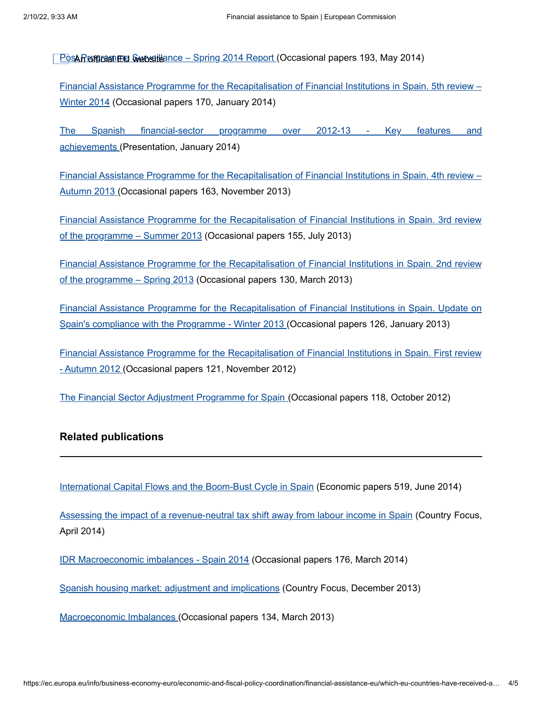<u>Pos**ARroforaniele Svebsitl**ance – Spring 2014 Report (</u>Occasional papers 193, May 2014)

[Financial Assistance Programme for the Recapitalisation of Financial Institutions in Spain. 5th review –](http://ec.europa.eu/economy_finance/publications/occasional_paper/2014/op170_en.htm) Winter 2014 (Occasional papers 170, January 2014)

[The Spanish financial-sector programme over 2012-13 - Key](http://ec.europa.eu/info/sites/default/files/ecfin_technical_briefing_spain20140121_en.pdf) features and achievements (Presentation, January 2014)

[Financial Assistance Programme for the Recapitalisation of Financial Institutions in Spain. 4th review –](http://ec.europa.eu/economy_finance/publications/occasional_paper/2013/op163_en.htm) Autumn 2013 (Occasional papers 163, November 2013)

[Financial Assistance Programme for the Recapitalisation of Financial Institutions in Spain. 3rd review](http://ec.europa.eu/economy_finance/publications/occasional_paper/2013/op155_en.htm) of the programme – Summer 2013 (Occasional papers 155, July 2013)

[Financial Assistance Programme for the Recapitalisation of Financial Institutions in Spain. 2nd review](http://ec.europa.eu/economy_finance/publications/occasional_paper/2013/op130_en.htm) of the programme – Spring 2013 (Occasional papers 130, March 2013)

[Financial Assistance Programme for the Recapitalisation of Financial Institutions in Spain. Update on](http://ec.europa.eu/economy_finance/publications/occasional_paper/2013/op126_en.htm) Spain's compliance with the Programme - Winter 2013 (Occasional papers 126, January 2013)

[Financial Assistance Programme for the Recapitalisation of Financial Institutions in Spain. First review](http://ec.europa.eu/economy_finance/publications/occasional_paper/2012/op121_en.htm) - Autumn 2012 (Occasional papers 121, November 2012)

[The Financial Sector Adjustment Programme for Spain](http://ec.europa.eu/economy_finance/publications/occasional_paper/2012/op118_en.htm) (Occasional papers 118, October 2012)

## **Related publications**

[International Capital Flows and the Boom-Bust Cycle in Spain](http://ec.europa.eu/economy_finance/publications/economic_paper/2014/ecp519_en.htm) (Economic papers 519, June 2014)

[Assessing the impact of a revenue-neutral tax shift away from labour income in Spain](http://ec.europa.eu/economy_finance/publications/country_focus/2014/cf-vol11_5_en.htm) (Country Focus, April 2014)

[IDR Macroeconomic imbalances - Spain 2014](http://ec.europa.eu/economy_finance/publications/occasional_paper/2014/op176_en.htm) (Occasional papers 176, March 2014)

[Spanish housing market: adjustment and implications](http://ec.europa.eu/economy_finance/publications/country_focus/2013/cf-vol10_8_en.htm) (Country Focus, December 2013)

[Macroeconomic Imbalances](http://ec.europa.eu/economy_finance/publications/occasional_paper/2013/op134_en.htm) (Occasional papers 134, March 2013)